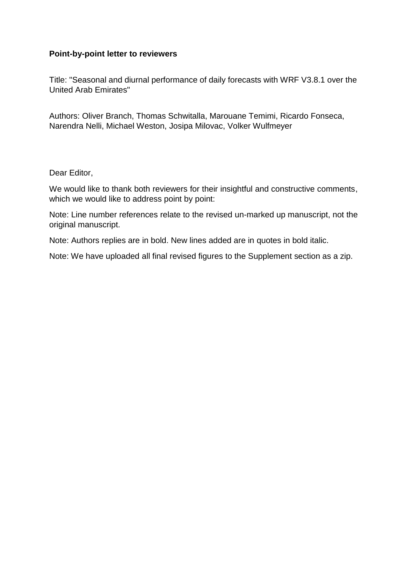### **Point-by-point letter to reviewers**

Title: "Seasonal and diurnal performance of daily forecasts with WRF V3.8.1 over the United Arab Emirates"

Authors: Oliver Branch, Thomas Schwitalla, Marouane Temimi, Ricardo Fonseca, Narendra Nelli, Michael Weston, Josipa Milovac, Volker Wulfmeyer

Dear Editor,

We would like to thank both reviewers for their insightful and constructive comments, which we would like to address point by point:

Note: Line number references relate to the revised un-marked up manuscript, not the original manuscript.

Note: Authors replies are in bold. New lines added are in quotes in bold italic.

Note: We have uploaded all final revised figures to the Supplement section as a zip.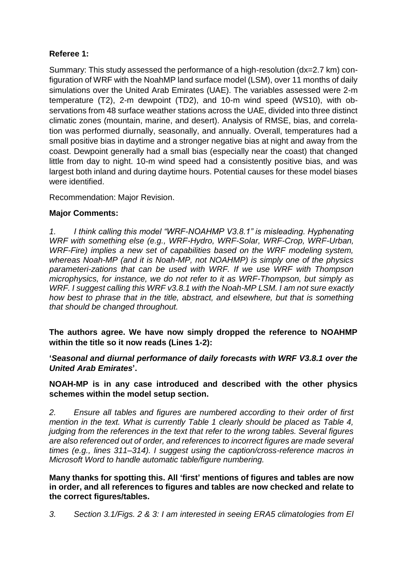# **Referee 1:**

Summary: This study assessed the performance of a high-resolution (dx=2.7 km) configuration of WRF with the NoahMP land surface model (LSM), over 11 months of daily simulations over the United Arab Emirates (UAE). The variables assessed were 2-m temperature (T2), 2-m dewpoint (TD2), and 10-m wind speed (WS10), with observations from 48 surface weather stations across the UAE, divided into three distinct climatic zones (mountain, marine, and desert). Analysis of RMSE, bias, and correlation was performed diurnally, seasonally, and annually. Overall, temperatures had a small positive bias in daytime and a stronger negative bias at night and away from the coast. Dewpoint generally had a small bias (especially near the coast) that changed little from day to night. 10-m wind speed had a consistently positive bias, and was largest both inland and during daytime hours. Potential causes for these model biases were identified.

Recommendation: Major Revision.

# **Major Comments:**

*1. I think calling this model "WRF-NOAHMP V3.8.1" is misleading. Hyphenating WRF with something else (e.g., WRF-Hydro, WRF-Solar, WRF-Crop, WRF-Urban, WRF-Fire) implies a new set of capabilities based on the WRF modeling system, whereas Noah-MP (and it is Noah-MP, not NOAHMP) is simply one of the physics parameteri-zations that can be used with WRF. If we use WRF with Thompson microphysics, for instance, we do not refer to it as WRF-Thompson, but simply as WRF. I suggest calling this WRF v3.8.1 with the Noah-MP LSM. I am not sure exactly how best to phrase that in the title, abstract, and elsewhere, but that is something that should be changed throughout.*

**The authors agree. We have now simply dropped the reference to NOAHMP within the title so it now reads (Lines 1-2):**

**'***Seasonal and diurnal performance of daily forecasts with WRF V3.8.1 over the United Arab Emirates***'.**

**NOAH-MP is in any case introduced and described with the other physics schemes within the model setup section.**

*2. Ensure all tables and figures are numbered according to their order of first mention in the text. What is currently Table 1 clearly should be placed as Table 4, judging from the references in the text that refer to the wrong tables. Several figures are also referenced out of order, and references to incorrect figures are made several times (e.g., lines 311–314). I suggest using the caption/cross-reference macros in Microsoft Word to handle automatic table/figure numbering.*

**Many thanks for spotting this. All 'first' mentions of figures and tables are now in order, and all references to figures and tables are now checked and relate to the correct figures/tables.** 

*3. Section 3.1/Figs. 2 & 3: I am interested in seeing ERA5 climatologies from El*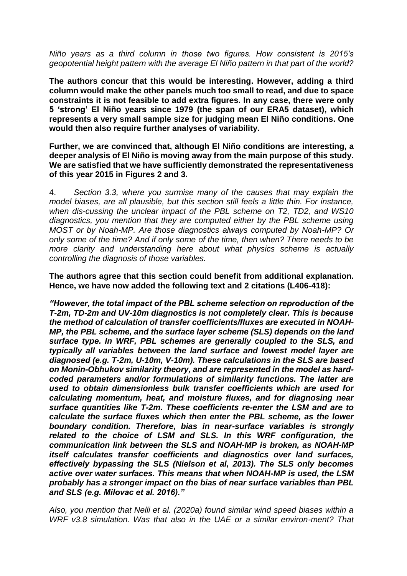*Niño years as a third column in those two figures. How consistent is 2015's geopotential height pattern with the average El Niño pattern in that part of the world?*

**The authors concur that this would be interesting. However, adding a third column would make the other panels much too small to read, and due to space constraints it is not feasible to add extra figures. In any case, there were only 5 'strong' El Niño years since 1979 (the span of our ERA5 dataset), which represents a very small sample size for judging mean El Niño conditions. One would then also require further analyses of variability.**

**Further, we are convinced that, although El Niño conditions are interesting, a deeper analysis of El Niño is moving away from the main purpose of this study. We are satisfied that we have sufficiently demonstrated the representativeness of this year 2015 in Figures 2 and 3.**

4. *Section 3.3, where you surmise many of the causes that may explain the model biases, are all plausible, but this section still feels a little thin. For instance, when dis-cussing the unclear impact of the PBL scheme on T2, TD2, and WS10 diagnostics, you mention that they are computed either by the PBL scheme using MOST or by Noah-MP. Are those diagnostics always computed by Noah-MP? Or only some of the time? And if only some of the time, then when? There needs to be more clarity and understanding here about what physics scheme is actually controlling the diagnosis of those variables.* 

**The authors agree that this section could benefit from additional explanation. Hence, we have now added the following text and 2 citations (L406-418):**

*"However, the total impact of the PBL scheme selection on reproduction of the T-2m, TD-2m and UV-10m diagnostics is not completely clear. This is because the method of calculation of transfer coefficients/fluxes are executed in NOAH-MP, the PBL scheme, and the surface layer scheme (SLS) depends on the land surface type. In WRF, PBL schemes are generally coupled to the SLS, and typically all variables between the land surface and lowest model layer are diagnosed (e.g. T-2m, U-10m, V-10m). These calculations in the SLS are based on Monin-Obhukov similarity theory, and are represented in the model as hardcoded parameters and/or formulations of similarity functions. The latter are used to obtain dimensionless bulk transfer coefficients which are used for calculating momentum, heat, and moisture fluxes, and for diagnosing near surface quantities like T-2m. These coefficients re-enter the LSM and are to calculate the surface fluxes which then enter the PBL scheme, as the lower boundary condition. Therefore, bias in near-surface variables is strongly related to the choice of LSM and SLS. In this WRF configuration, the communication link between the SLS and NOAH-MP is broken, as NOAH-MP itself calculates transfer coefficients and diagnostics over land surfaces, effectively bypassing the SLS (Nielson et al, 2013). The SLS only becomes active over water surfaces. This means that when NOAH-MP is used, the LSM probably has a stronger impact on the bias of near surface variables than PBL and SLS (e.g. Milovac et al. 2016)."*

*Also, you mention that Nelli et al. (2020a) found similar wind speed biases within a WRF v3.8 simulation. Was that also in the UAE or a similar environ-ment? That*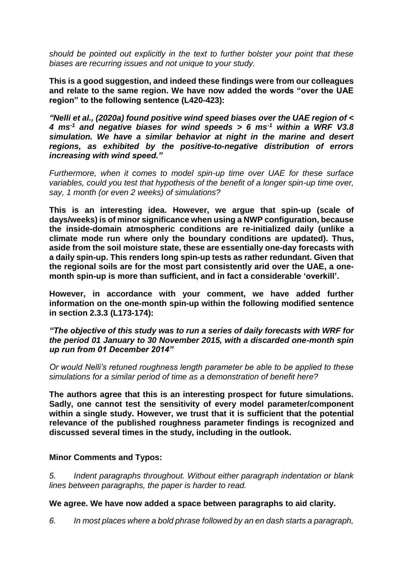*should be pointed out explicitly in the text to further bolster your point that these biases are recurring issues and not unique to your study.* 

**This is a good suggestion, and indeed these findings were from our colleagues and relate to the same region. We have now added the words "over the UAE region" to the following sentence (L420-423):**

*"Nelli et al., (2020a) found positive wind speed biases over the UAE region of < 4 ms-1 and negative biases for wind speeds > 6 ms-1 within a WRF V3.8 simulation. We have a similar behavior at night in the marine and desert regions, as exhibited by the positive-to-negative distribution of errors increasing with wind speed."*

*Furthermore, when it comes to model spin-up time over UAE for these surface variables, could you test that hypothesis of the benefit of a longer spin-up time over, say, 1 month (or even 2 weeks) of simulations?* 

**This is an interesting idea. However, we argue that spin-up (scale of days/weeks) is of minor significance when using a NWP configuration, because the inside-domain atmospheric conditions are re-initialized daily (unlike a climate mode run where only the boundary conditions are updated). Thus, aside from the soil moisture state, these are essentially one-day forecasts with a daily spin-up. This renders long spin-up tests as rather redundant. Given that the regional soils are for the most part consistently arid over the UAE, a onemonth spin-up is more than sufficient, and in fact a considerable 'overkill'.** 

**However, in accordance with your comment, we have added further information on the one-month spin-up within the following modified sentence in section 2.3.3 (L173-174):**

*"The objective of this study was to run a series of daily forecasts with WRF for the period 01 January to 30 November 2015, with a discarded one-month spin up run from 01 December 2014"*

*Or would Nelli's retuned roughness length parameter be able to be applied to these simulations for a similar period of time as a demonstration of benefit here?*

**The authors agree that this is an interesting prospect for future simulations. Sadly, one cannot test the sensitivity of every model parameter/component within a single study. However, we trust that it is sufficient that the potential relevance of the published roughness parameter findings is recognized and discussed several times in the study, including in the outlook.** 

### **Minor Comments and Typos:**

*5. Indent paragraphs throughout. Without either paragraph indentation or blank lines between paragraphs, the paper is harder to read.*

#### **We agree. We have now added a space between paragraphs to aid clarity.**

*6. In most places where a bold phrase followed by an en dash starts a paragraph,*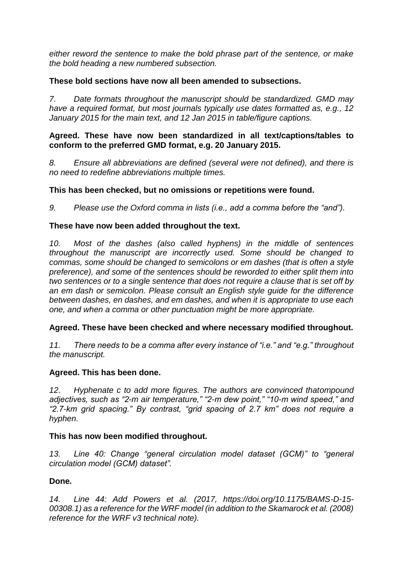*either reword the sentence to make the bold phrase part of the sentence, or make the bold heading a new numbered subsection.*

### **These bold sections have now all been amended to subsections.**

*7. Date formats throughout the manuscript should be standardized. GMD may have a required format, but most journals typically use dates formatted as, e.g., 12 January 2015 for the main text, and 12 Jan 2015 in table/figure captions.*

#### **Agreed. These have now been standardized in all text/captions/tables to conform to the preferred GMD format, e.g. 20 January 2015.**

*8. Ensure all abbreviations are defined (several were not defined), and there is no need to redefine abbreviations multiple times.*

### **This has been checked, but no omissions or repetitions were found.**

*9. Please use the Oxford comma in lists (i.e., add a comma before the "and").*

#### **These have now been added throughout the text.**

*10. Most of the dashes (also called hyphens) in the middle of sentences throughout the manuscript are incorrectly used. Some should be changed to commas, some should be changed to semicolons or em dashes (that is often a style preference), and some of the sentences should be reworded to either split them into two sentences or to a single sentence that does not require a clause that is set off by an em dash or semicolon. Please consult an English style guide for the difference between dashes, en dashes, and em dashes, and when it is appropriate to use each one, and when a comma or other punctuation might be more appropriate.*

### **Agreed. These have been checked and where necessary modified throughout.**

*11. There needs to be a comma after every instance of "i.e." and "e.g." throughout the manuscript.*

#### **Agreed. This has been done.**

*12. Hyphenate c to add more figures. The authors are convinced thatompound adjectives, such as "2-m air temperature," "2-m dew point," "10-m wind speed," and "2.7-km grid spacing." By contrast, "grid spacing of 2.7 km" does not require a hyphen.*

#### **This has now been modified throughout.**

*13. Line 40: Change "general circulation model dataset (GCM)" to "general circulation model (GCM) dataset".*

### **Done***.*

*14. Line 44: Add Powers et al. (2017, https://doi.org/10.1175/BAMS-D-15- 00308.1) as a reference for the WRF model (in addition to the Skamarock et al. (2008) reference for the WRF v3 technical note).*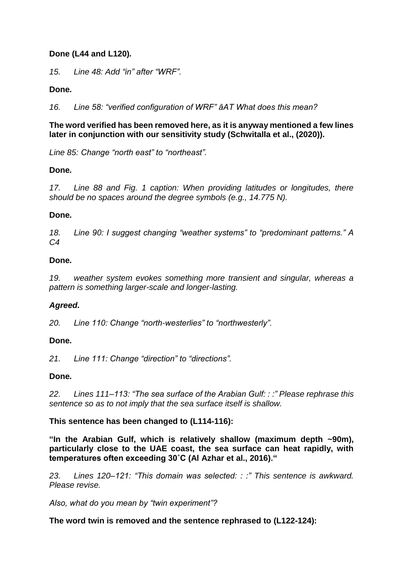### **Done (L44 and L120)***.*

*15. Line 48: Add "in" after "WRF".*

### **Done***.*

*16. Line 58: "verified configuration of WRF" âAT What does this mean?*

### **The word verified has been removed here, as it is anyway mentioned a few lines later in conjunction with our sensitivity study (Schwitalla et al., (2020)).**

*Line 85: Change "north east" to "northeast".*

# **Done***.*

*17. Line 88 and Fig. 1 caption: When providing latitudes or longitudes, there should be no spaces around the degree symbols (e.g., 14.775 N).*

### **Done***.*

*18. Line 90: I suggest changing "weather systems" to "predominant patterns." A C4*

### **Done***.*

*19. weather system evokes something more transient and singular, whereas a pattern is something larger-scale and longer-lasting.*

# *Agreed.*

*20. Line 110: Change "north-westerlies" to "northwesterly".*

# **Done***.*

*21. Line 111: Change "direction" to "directions".*

# **Done***.*

*22. Lines 111–113: "The sea surface of the Arabian Gulf: : :" Please rephrase this sentence so as to not imply that the sea surface itself is shallow.*

# **This sentence has been changed to (L114-116):**

**"In the Arabian Gulf, which is relatively shallow (maximum depth ~90m), particularly close to the UAE coast, the sea surface can heat rapidly, with temperatures often exceeding 30˚C (Al Azhar et al., 2016)."**

*23. Lines 120–121: "This domain was selected: : :" This sentence is awkward. Please revise.* 

*Also, what do you mean by "twin experiment"?* 

**The word twin is removed and the sentence rephrased to (L122-124):**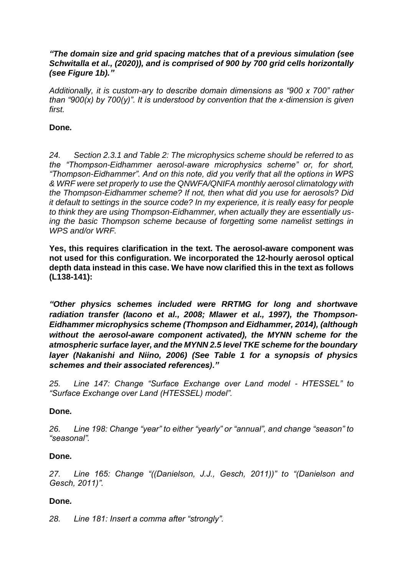### *"The domain size and grid spacing matches that of a previous simulation (see Schwitalla et al., (2020)), and is comprised of 900 by 700 grid cells horizontally (see Figure 1b)."*

*Additionally, it is custom-ary to describe domain dimensions as "900 x 700" rather than "900(x) by 700(y)". It is understood by convention that the x-dimension is given first.*

### **Done***.*

*24. Section 2.3.1 and Table 2: The microphysics scheme should be referred to as the "Thompson-Eidhammer aerosol-aware microphysics scheme" or, for short, "Thompson-Eidhammer". And on this note, did you verify that all the options in WPS & WRF were set properly to use the QNWFA/QNIFA monthly aerosol climatology with the Thompson-Eidhammer scheme? If not, then what did you use for aerosols? Did it default to settings in the source code? In my experience, it is really easy for people to think they are using Thompson-Eidhammer, when actually they are essentially using the basic Thompson scheme because of forgetting some namelist settings in WPS and/or WRF.*

**Yes, this requires clarification in the text. The aerosol-aware component was not used for this configuration. We incorporated the 12-hourly aerosol optical depth data instead in this case. We have now clarified this in the text as follows (L138-141):**

*"Other physics schemes included were RRTMG for long and shortwave radiation transfer (Iacono et al., 2008; Mlawer et al., 1997), the Thompson-Eidhammer microphysics scheme (Thompson and Eidhammer, 2014), (although without the aerosol-aware component activated), the MYNN scheme for the atmospheric surface layer, and the MYNN 2.5 level TKE scheme for the boundary layer (Nakanishi and Niino, 2006) (See Table 1 for a synopsis of physics schemes and their associated references)."* 

*25. Line 147: Change "Surface Exchange over Land model - HTESSEL" to "Surface Exchange over Land (HTESSEL) model".*

### **Done***.*

*26. Line 198: Change "year" to either "yearly" or "annual", and change "season" to "seasonal".*

### **Done***.*

*27. Line 165: Change "((Danielson, J.J., Gesch, 2011))" to "(Danielson and Gesch, 2011)".*

### **Done***.*

*28. Line 181: Insert a comma after "strongly".*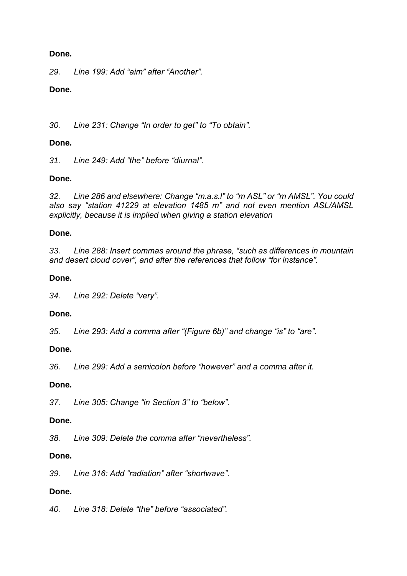### **Done***.*

*29. Line 199: Add "aim" after "Another".*

### **Done***.*

*30. Line 231: Change "In order to get" to "To obtain".*

### **Done***.*

*31. Line 249: Add "the" before "diurnal".*

### **Done***.*

*32. Line 286 and elsewhere: Change "m.a.s.l" to "m ASL" or "m AMSL". You could also say "station 41229 at elevation 1485 m" and not even mention ASL/AMSL explicitly, because it is implied when giving a station elevation*

### **Done***.*

*33. Line 288: Insert commas around the phrase, "such as differences in mountain and desert cloud cover", and after the references that follow "for instance".*

### **Done***.*

*34. Line 292: Delete "very".*

# **Done***.*

*35. Line 293: Add a comma after "(Figure 6b)" and change "is" to "are".*

### **Done***.*

*36. Line 299: Add a semicolon before "however" and a comma after it.*

### **Done***.*

*37. Line 305: Change "in Section 3" to "below".*

### **Done.**

*38. Line 309: Delete the comma after "nevertheless".*

### **Done.**

*39. Line 316: Add "radiation" after "shortwave".*

# **Done.**

*40. Line 318: Delete "the" before "associated".*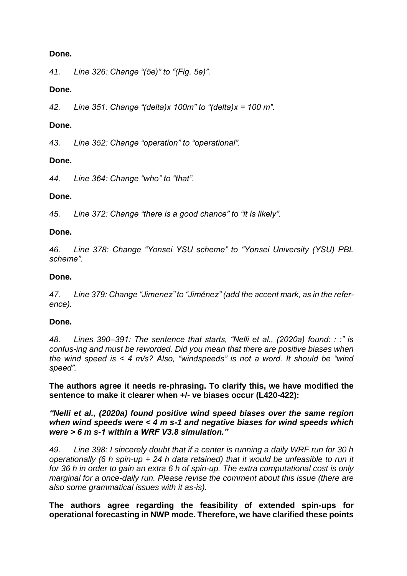### **Done.**

*41. Line 326: Change "(5e)" to "(Fig. 5e)".*

### **Done.**

*42. Line 351: Change "(delta)x 100m" to "(delta)x = 100 m".*

### **Done.**

*43. Line 352: Change "operation" to "operational".*

### **Done.**

*44. Line 364: Change "who" to "that".*

### **Done.**

*45. Line 372: Change "there is a good chance" to "it is likely".*

### **Done.**

*46. Line 378: Change "Yonsei YSU scheme" to "Yonsei University (YSU) PBL scheme".*

### **Done.**

*47. Line 379: Change "Jimenez" to "Jiménez" (add the accent mark, as in the reference).*

### **Done.**

*48. Lines 390–391: The sentence that starts, "Nelli et al., (2020a) found: : :" is confus-ing and must be reworded. Did you mean that there are positive biases when the wind speed is < 4 m/s? Also, "windspeeds" is not a word. It should be "wind speed".*

**The authors agree it needs re-phrasing. To clarify this, we have modified the sentence to make it clearer when +/- ve biases occur (L420-422):**

*"Nelli et al., (2020a) found positive wind speed biases over the same region when wind speeds were < 4 m s-1 and negative biases for wind speeds which were > 6 m s-1 within a WRF V3.8 simulation."*

*49. Line 398: I sincerely doubt that if a center is running a daily WRF run for 30 h operationally (6 h spin-up + 24 h data retained) that it would be unfeasible to run it for 36 h in order to gain an extra 6 h of spin-up. The extra computational cost is only marginal for a once-daily run. Please revise the comment about this issue (there are also some grammatical issues with it as-is).*

**The authors agree regarding the feasibility of extended spin-ups for operational forecasting in NWP mode. Therefore, we have clarified these points**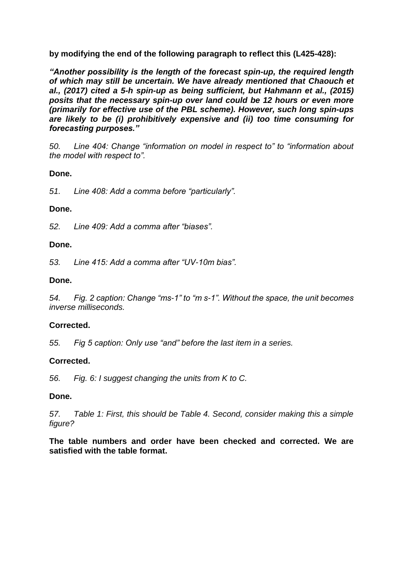**by modifying the end of the following paragraph to reflect this (L425-428):** 

*"Another possibility is the length of the forecast spin-up, the required length of which may still be uncertain. We have already mentioned that Chaouch et al., (2017) cited a 5-h spin-up as being sufficient, but Hahmann et al., (2015) posits that the necessary spin-up over land could be 12 hours or even more (primarily for effective use of the PBL scheme). However, such long spin-ups are likely to be (i) prohibitively expensive and (ii) too time consuming for forecasting purposes."*

*50. Line 404: Change "information on model in respect to" to "information about the model with respect to".*

### **Done.**

*51. Line 408: Add a comma before "particularly".*

### **Done.**

*52. Line 409: Add a comma after "biases".*

### **Done.**

*53. Line 415: Add a comma after "UV-10m bias".*

### **Done.**

*54. Fig. 2 caption: Change "ms-1" to "m s-1". Without the space, the unit becomes inverse milliseconds.*

# **Corrected.**

*55. Fig 5 caption: Only use "and" before the last item in a series.*

# **Corrected.**

*56. Fig. 6: I suggest changing the units from K to C.*

### **Done.**

*57. Table 1: First, this should be Table 4. Second, consider making this a simple figure?*

**The table numbers and order have been checked and corrected. We are satisfied with the table format.**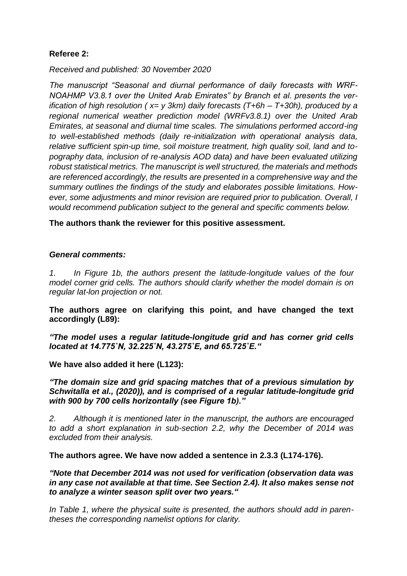# **Referee 2:**

*Received and published: 30 November 2020*

*The manuscript "Seasonal and diurnal performance of daily forecasts with WRF-NOAHMP V3.8.1 over the United Arab Emirates" by Branch et al. presents the verification of high resolution ( x= y 3km) daily forecasts (T+6h – T+30h), produced by a regional numerical weather prediction model (WRFv3.8.1) over the United Arab Emirates, at seasonal and diurnal time scales. The simulations performed accord-ing to well-established methods (daily re-initialization with operational analysis data, relative sufficient spin-up time, soil moisture treatment, high quality soil, land and topography data, inclusion of re-analysis AOD data) and have been evaluated utilizing robust statistical metrics. The manuscript is well structured, the materials and methods are referenced accordingly, the results are presented in a comprehensive way and the summary outlines the findings of the study and elaborates possible limitations. However, some adjustments and minor revision are required prior to publication. Overall, I would recommend publication subject to the general and specific comments below.*

**The authors thank the reviewer for this positive assessment.**

#### *General comments:*

*1. In Figure 1b, the authors present the latitude-longitude values of the four model corner grid cells. The authors should clarify whether the model domain is on regular lat-lon projection or not.*

**The authors agree on clarifying this point, and have changed the text accordingly (L89):**

*"The model uses a regular latitude-longitude grid and has corner grid cells located at 14.775˚N, 32.225˚N, 43.275˚E, and 65.725˚E."*

**We have also added it here (L123):**

*"The domain size and grid spacing matches that of a previous simulation by Schwitalla et al., (2020)), and is comprised of a regular latitude-longitude grid with 900 by 700 cells horizontally (see Figure 1b)."*

*2. Although it is mentioned later in the manuscript, the authors are encouraged to add a short explanation in sub-section 2.2, why the December of 2014 was excluded from their analysis.*

**The authors agree. We have now added a sentence in 2.3.3 (L174-176).**

*"Note that December 2014 was not used for verification (observation data was in any case not available at that time. See Section 2.4). It also makes sense not to analyze a winter season split over two years."*

*In Table 1, where the physical suite is presented, the authors should add in parentheses the corresponding namelist options for clarity.*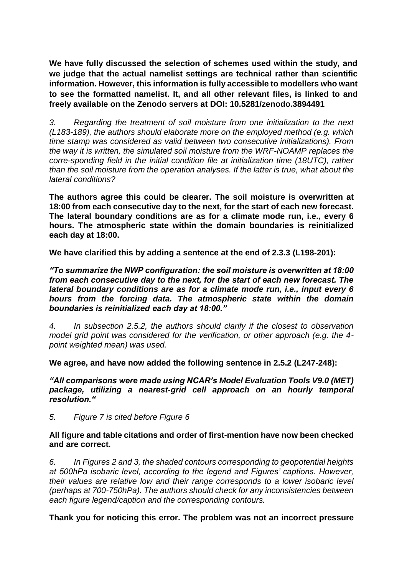**We have fully discussed the selection of schemes used within the study, and we judge that the actual namelist settings are technical rather than scientific information. However, this information is fully accessible to modellers who want to see the formatted namelist. It, and all other relevant files, is linked to and freely available on the Zenodo servers at DOI: 10.5281/zenodo.3894491**

*3. Regarding the treatment of soil moisture from one initialization to the next (L183-189), the authors should elaborate more on the employed method (e.g. which time stamp was considered as valid between two consecutive initializations). From the way it is written, the simulated soil moisture from the WRF-NOAMP replaces the corre-sponding field in the initial condition file at initialization time (18UTC), rather than the soil moisture from the operation analyses. If the latter is true, what about the lateral conditions?*

**The authors agree this could be clearer. The soil moisture is overwritten at 18:00 from each consecutive day to the next, for the start of each new forecast. The lateral boundary conditions are as for a climate mode run, i.e., every 6 hours. The atmospheric state within the domain boundaries is reinitialized each day at 18:00.** 

**We have clarified this by adding a sentence at the end of 2.3.3 (L198-201):**

*"To summarize the NWP configuration: the soil moisture is overwritten at 18:00 from each consecutive day to the next, for the start of each new forecast. The lateral boundary conditions are as for a climate mode run, i.e., input every 6 hours from the forcing data. The atmospheric state within the domain boundaries is reinitialized each day at 18:00."*

*4. In subsection 2.5.2, the authors should clarify if the closest to observation model grid point was considered for the verification, or other approach (e.g. the 4 point weighted mean) was used.*

**We agree, and have now added the following sentence in 2.5.2 (L247-248):**

*"All comparisons were made using NCAR's Model Evaluation Tools V9.0 (MET) package, utilizing a nearest-grid cell approach on an hourly temporal resolution."*

*5. Figure 7 is cited before Figure 6*

#### **All figure and table citations and order of first-mention have now been checked and are correct.**

*6. In Figures 2 and 3, the shaded contours corresponding to geopotential heights at 500hPa isobaric level, according to the legend and Figures' captions. However, their values are relative low and their range corresponds to a lower isobaric level (perhaps at 700-750hPa). The authors should check for any inconsistencies between each figure legend/caption and the corresponding contours.*

**Thank you for noticing this error. The problem was not an incorrect pressure**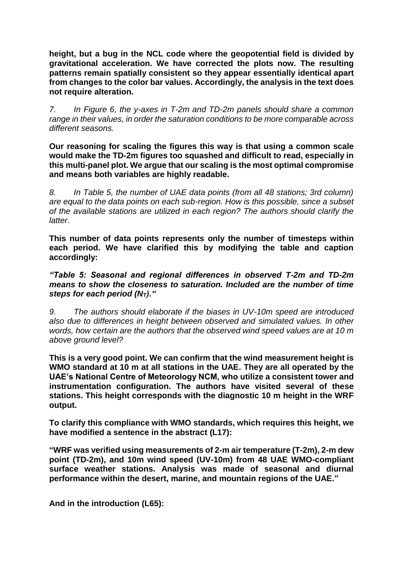**height, but a bug in the NCL code where the geopotential field is divided by gravitational acceleration. We have corrected the plots now. The resulting patterns remain spatially consistent so they appear essentially identical apart from changes to the color bar values. Accordingly, the analysis in the text does not require alteration.**

*7. In Figure 6, the y-axes in T-2m and TD-2m panels should share a common range in their values, in order the saturation conditions to be more comparable across different seasons.*

**Our reasoning for scaling the figures this way is that using a common scale would make the TD-2m figures too squashed and difficult to read, especially in this multi-panel plot. We argue that our scaling is the most optimal compromise and means both variables are highly readable.**

*8. In Table 5, the number of UAE data points (from all 48 stations; 3rd column) are equal to the data points on each sub-region. How is this possible, since a subset of the available stations are utilized in each region? The authors should clarify the latter.*

**This number of data points represents only the number of timesteps within each period. We have clarified this by modifying the table and caption accordingly:**

*"Table 5: Seasonal and regional differences in observed T-2m and TD-2m means to show the closeness to saturation. Included are the number of time steps for each period (NT)."*

*9. The authors should elaborate if the biases in UV-10m speed are introduced also due to differences in height between observed and simulated values. In other words, how certain are the authors that the observed wind speed values are at 10 m above ground level?*

**This is a very good point. We can confirm that the wind measurement height is WMO standard at 10 m at all stations in the UAE. They are all operated by the UAE's National Centre of Meteorology NCM, who utilize a consistent tower and instrumentation configuration. The authors have visited several of these stations. This height corresponds with the diagnostic 10 m height in the WRF output.**

**To clarify this compliance with WMO standards, which requires this height, we have modified a sentence in the abstract (L17):**

**"WRF was verified using measurements of 2-m air temperature (T-2m), 2-m dew point (TD-2m), and 10m wind speed (UV-10m) from 48 UAE WMO-compliant surface weather stations. Analysis was made of seasonal and diurnal performance within the desert, marine, and mountain regions of the UAE."**

**And in the introduction (L65):**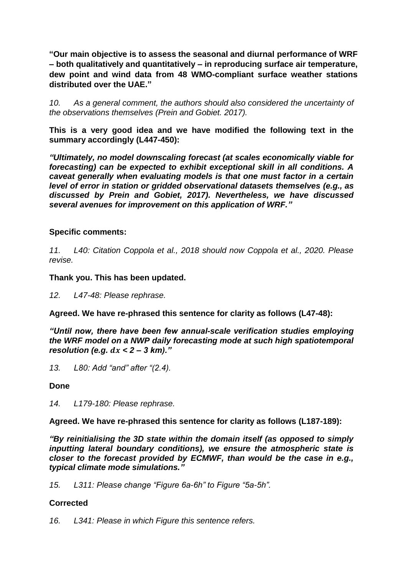**"Our main objective is to assess the seasonal and diurnal performance of WRF – both qualitatively and quantitatively – in reproducing surface air temperature, dew point and wind data from 48 WMO-compliant surface weather stations distributed over the UAE."**

*10. As a general comment, the authors should also considered the uncertainty of the observations themselves (Prein and Gobiet. 2017).*

**This is a very good idea and we have modified the following text in the summary accordingly (L447-450):**

*"Ultimately, no model downscaling forecast (at scales economically viable for forecasting) can be expected to exhibit exceptional skill in all conditions. A caveat generally when evaluating models is that one must factor in a certain level of error in station or gridded observational datasets themselves (e.g., as discussed by Prein and Gobiet, 2017). Nevertheless, we have discussed several avenues for improvement on this application of WRF."*

### **Specific comments:**

*11. L40: Citation Coppola et al., 2018 should now Coppola et al., 2020. Please revise.*

**Thank you. This has been updated.**

*12. L47-48: Please rephrase.*

**Agreed. We have re-phrased this sentence for clarity as follows (L47-48):**

*"Until now, there have been few annual-scale verification studies employing the WRF model on a NWP daily forecasting mode at such high spatiotemporal resolution (e.g.*  $dx < 2 - 3 km$ *).*"

*13. L80: Add "and" after "(2.4).*

### **Done**

*14. L179-180: Please rephrase.*

**Agreed. We have re-phrased this sentence for clarity as follows (L187-189):**

*"By reinitialising the 3D state within the domain itself (as opposed to simply inputting lateral boundary conditions), we ensure the atmospheric state is closer to the forecast provided by ECMWF, than would be the case in e.g., typical climate mode simulations."*

*15. L311: Please change "Figure 6a-6h" to Figure "5a-5h".*

### **Corrected**

*16. L341: Please in which Figure this sentence refers.*